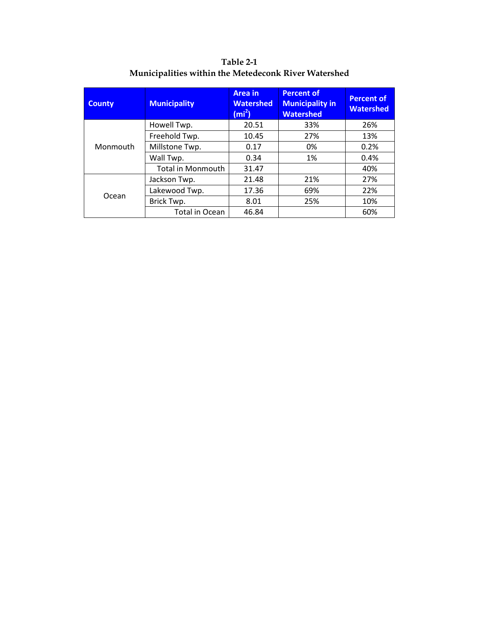| <b>County</b> | <b>Municipality</b>      | <b>Area</b> in<br><b>Watershed</b><br>(m <sup>2</sup> ) | <b>Percent of</b><br><b>Municipality in</b><br><b>Watershed</b> | <b>Percent of</b><br><b>Watershed</b> |
|---------------|--------------------------|---------------------------------------------------------|-----------------------------------------------------------------|---------------------------------------|
|               | Howell Twp.              | 20.51                                                   | 33%                                                             | 26%                                   |
|               | Freehold Twp.            | 10.45                                                   | 27%                                                             | 13%                                   |
| Monmouth      | Millstone Twp.           | 0.17                                                    | 0%                                                              | 0.2%                                  |
|               | Wall Twp.                | 0.34                                                    | 1%                                                              | 0.4%                                  |
|               | <b>Total in Monmouth</b> | 31.47                                                   |                                                                 | 40%                                   |
|               | Jackson Twp.             | 21.48                                                   | 21%                                                             | 27%                                   |
| Ocean         | Lakewood Twp.            | 17.36                                                   | 69%                                                             | 22%                                   |
|               | Brick Twp.               | 8.01                                                    | 25%                                                             | 10%                                   |
|               | Total in Ocean           | 46.84                                                   |                                                                 | 60%                                   |

**Table 2-1 Municipalities within the Metedeconk River Watershed**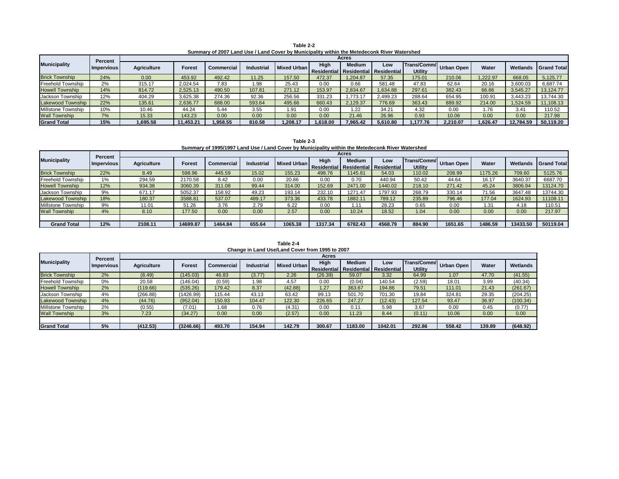|                          | <b>Percent</b> |                    | <b>Acres</b>  |                   |                   |                    |             |                                                          |         |                                      |                   |              |                 |  |  |  |
|--------------------------|----------------|--------------------|---------------|-------------------|-------------------|--------------------|-------------|----------------------------------------------------------|---------|--------------------------------------|-------------------|--------------|-----------------|--|--|--|
| <b>Municipality</b>      | Impervious     | <b>Agriculture</b> | <b>Forest</b> | <b>Commercial</b> | <b>Industrial</b> | <b>Mixed Urban</b> | <b>High</b> | <b>Medium</b><br>Residential   Residential   Residential | Low     | <b>Trans/Comm/</b><br><b>Utility</b> | <b>Urban Open</b> | <b>Water</b> | <b>Wetlands</b> |  |  |  |
| <b>Brick Township</b>    | 2%             | (8.49)             | (145.03)      | 46.83             | (3.77)            | 2.26               | (26.39)     | 59.07                                                    | 3.32    | 64.99                                | 1.07              | 47.70        | (41.55)         |  |  |  |
| Freehold Township        | 0%             | 20.58              | (146.04)      | (0.59)            | 98. ا             | 4.57               | 0.00        | (0.04)                                                   | 140.54  | (2.59)                               | 18.01             | 3.99         | (40.34)         |  |  |  |
| <b>Howell Township</b>   | 2%             | (119.66)           | (535.26)      | 179.42            | 8.37              | (42.88)            | 1.27        | 363.67                                                   | 194.86  | 79.51                                | 111.01            | 21.43        | (261.67)        |  |  |  |
| Jackson Township         | 4%             | (266.88)           | (1426.99)     | 115.44            | 43.13             | 63.42              | 99.13       | 501.70                                                   | 701.30  | 19.84                                | 324.81            | 29.35        | (204.25)        |  |  |  |
| <b>Lakewood Township</b> | 4%             | (44.76)            | (952.04)      | 150.93            | 104.47            | 122.30             | 226.65      | 247.27                                                   | (12.43) | 127.54                               | 93.47             | 36.97        | (100.34)        |  |  |  |
| Millstone Township       | 2%             | (0.55)             | (7.01)        | 1.68              | 0.76              | (4.31)             | 0.00        | 0.11                                                     | 5.98    | 3.67                                 | 0.00              | 0.45         | (0.77)          |  |  |  |
| <b>Wall Township</b>     | 3%             | 7.23               | (34.27)       | 0.00              | 0.00              | (2.57)             | 0.00        | 11.23                                                    | 8.44    | (0.11)                               | 10.06             | 0.00         | 0.00            |  |  |  |
|                          |                |                    |               |                   |                   |                    |             |                                                          |         |                                      |                   |              |                 |  |  |  |
| <b>Grand Total</b>       | 5%             | (412.53)           | (3246.66)     | 493.70            | 154.94            | 142.79             | 300.67      | 1183.00                                                  | 1042.01 | 292.86                               | 558.42            | 139.89       | (648.92)        |  |  |  |

**Table 2-2 Summary of 2007 Land Use / Land Cover by Municipality within the Metedeconk River Watershed**

|                        | <b>Percent</b> |                    |           |                   |           |             |                            | <b>Acres</b>  |                                           |                               |                   |         |           |                    |
|------------------------|----------------|--------------------|-----------|-------------------|-----------|-------------|----------------------------|---------------|-------------------------------------------|-------------------------------|-------------------|---------|-----------|--------------------|
| Municipality           | Impervious     | <b>Agriculture</b> | Forest    | <b>Commercial</b> | ndustrial | Mixed Urban | High<br><b>Residential</b> | <b>Medium</b> | <b>Low</b><br>  Residential   Residential | Trans/Comm/<br><b>Utility</b> | <b>Urban Open</b> | Water   | Wetlands  | <b>Grand Total</b> |
| <b>Brick Township</b>  | 24%            | 0.00               | 453.92    | 492.42            | 11.25     | 157.50      | 472.37                     | 1,204.87      | 57.35                                     | 175.01                        | 210.06            | ,222.97 | 668.05    | 5,125.77           |
| Freehold Township      | 2%             | 315.17             | 2,024.54  | 7.83              | l.98      | 25.43       | 0.00                       | 0.66          | 581.48                                    | 47.83                         | 62.64             | 20.16   | 3,600.03  | 6,687.74           |
| <b>Howell Township</b> | 14%            | 814.72             | 2,525.13  | 490.50            | 107.81    | 271.12      | 153.97                     | 2,834.67      | 1,634.88                                  | 297.61                        | 382.43            | 66.66   | 3,545.27  | 13,124.77          |
| Jackson Township       | 12%            | 404.29             | 3,625.38  | 274.36            | 92.36     | 256.56      | 331.23                     | .773.11       | 2,499.23                                  | 288.64                        | 654.95            | 100.91  | 3,443.23  | 13,744.30          |
| Lakewood Township      | 22%            | 135.61             | 2,636.77  | 688.00            | 593.64    | 495.66      | 660.43                     | 2,129.37      | 776.69                                    | 363.43                        | 889.92            | 214.00  | 1,524.59  | 11,108.13          |
| Millstone Township     | 10%            | 10.46              | 44.24     | 5.44              | 3.55      | l.91        | 0.00                       | 1.22          | 34.21                                     | 4.32                          | 0.00              | 1.76    | 3.41      | 110.52             |
| <b>Wall Township</b>   | 7%             | 15.33              | 143.23    | 0.00              | 0.00      | 0.00        | 0.00                       | 21.46         | 26.96                                     | 0.93                          | 10.06             | 0.00    | 0.00      | 217.98             |
| <b>Grand Total</b>     | 15%            | 1,695.58           | 11,453.21 | 1,958.55          | 810.58    | ,208.17     | 1,618.00                   | 7,965.42      | 5,610.80                                  | .177.76                       | 2,210.07          | .626.47 | 12.784.59 | 50,119.20          |

**Table 2-3 Summary of 1995/1997 Land Use / Land Cover by Municipality within the Metedeconk River Watershed**

|                          | <b>Percent</b>    |                    | Acres    |                   |                  |             |                                                        |               |         |                                      |            |              |          |                   |
|--------------------------|-------------------|--------------------|----------|-------------------|------------------|-------------|--------------------------------------------------------|---------------|---------|--------------------------------------|------------|--------------|----------|-------------------|
| <b>Municipality</b>      | <b>Impervious</b> | <b>Agriculture</b> | Forest   | <b>Commercial</b> | <b>Industria</b> | Mixed Urban | <b>High</b><br>Residential   Residential   Residential | <b>Medium</b> | Low     | <b>Trans/Comm/</b><br><b>Utility</b> | Urban Open | <b>Water</b> | Wetlands | <b>Sand Total</b> |
| <b>Brick Township</b>    | 22%               | 8.49               | 598.96   | 445.59            | 15.02            | 155.23      | 498.76                                                 | 1145.81       | 54.03   | 110.02                               | 208.99     | 1175.26      | 709.60   | 5125.76           |
| <b>Freehold Township</b> | 1%                | 294.59             | 2170.58  | 8.42              | 0.00             | 20.86       | 0.00                                                   | 0.70          | 440.94  | 50.42                                | 44.64      | 16.17        | 3640.37  | 6687.70           |
| <b>Howell Township</b>   | 12%               | 934.38             | 3060.39  | 311.08            | 99.44            | 314.00      | 152.69                                                 | 2471.00       | 1440.02 | 218.10                               | 271.42     | 45.24        | 3806.94  | 13124.70          |
| Jackson Township         | 9%                | 671.17             | 5052.37  | 158.92            | 49.23            | 193.14      | 232.10                                                 | 1271.47       | 1797.93 | 268.79                               | 330.14     | 71.56        | 3647.48  | 13744.30          |
| <b>Lakewood Township</b> | 18%               | 180.37             | 3588.81  | 537.07            | 489.17           | 373.36      | 433.78                                                 | 1882.11       | 789.12  | 235.89                               | 796.46     | 177.04       | 1624.93  | 11108.11          |
| Millstone Township       | 9%                | 11.01              | 51.26    | 3.76              | 2.79             | 6.22        | 0.00                                                   | 1.11          | 28.23   | 0.65                                 | 0.00       | . .31        | 4.18     | 110.51            |
| <b>Wall Township</b>     | 4%                | 8.10               | 177.50   | 0.00              | 0.00             | 2.57        | 0.00                                                   | 10.24         | 18.52   | 1.04                                 | 0.00       | 0.00         | 0.00     | 217.97            |
|                          |                   |                    |          |                   |                  |             |                                                        |               |         |                                      |            |              |          |                   |
| <b>Grand Total</b>       | 12%               | 2108.11            | 14699.87 | 1464.84           | 655.64           | 1065.38     | 1317.34                                                | 6782.43       | 4568.79 | 884.90                               | 1651.65    | 1486.59      | 13433.50 | 50119.04          |

**Change in Land Use/Land Cover from 1995 to 2007 Table 2-4**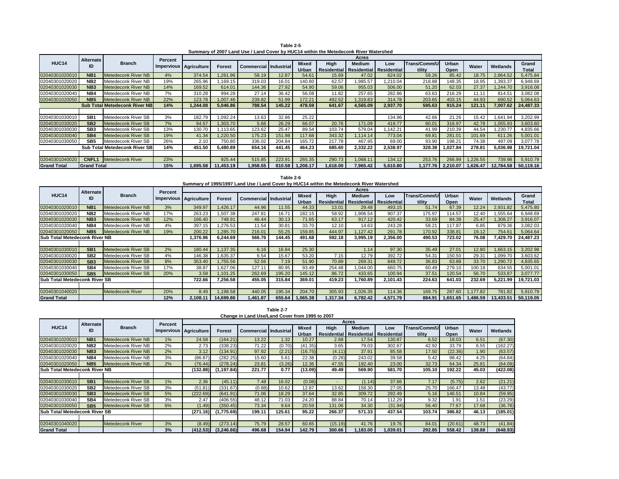|                                      | <b>Alternate</b> |                            | <b>Percent</b> | <b>Acres</b>             |               |                                |        |              |             |                           |          |              |              |              |           |              |
|--------------------------------------|------------------|----------------------------|----------------|--------------------------|---------------|--------------------------------|--------|--------------|-------------|---------------------------|----------|--------------|--------------|--------------|-----------|--------------|
| <b>HUC14</b>                         | ID               | <b>Branch</b>              |                | Impervious   Agriculture |               |                                |        | <b>Mixed</b> | <b>High</b> | <b>Medium</b>             | Low      | Trans/Comm/U | <b>Urban</b> | <b>Water</b> | Wetlands  | Grand        |
|                                      |                  |                            |                |                          | <b>Forest</b> | <b>Commercial   Industrial</b> |        | Urban        | Residential | Residential   Residential |          | tility       | Open         |              |           | <b>Total</b> |
| 02040301020010                       | NB <sub>1</sub>  | Metedeconk River NB        | 3%             | 349.97                   | 1,426.17      | 44.96                          | 11.55  | 44.33        | 13.01       | 29.48                     | 493.15   | 51.74        | 67.39        | 12.24        | 2,931.82  | 5,475.80     |
| 02040301020020                       | NB <sub>2</sub>  | Metedeconk River NB        | 17%            | 263.23                   | 507.38        | 247.81                         | 16.71  | 182.15       | 58.92       | ,906.54                   | 907.37   | 175.97       | 114.57       | 12.40        | 1,555.64  | 6,948.69     |
| 02040301020030                       | NB <sub>3</sub>  | Metedeconk River NB        | 12%            | 166.40                   | 748.91        | 46.44                          | 30.13  | 71.65        | 63.17       | 917.12                    | 420.42   | 33.69        | 84.39        | 25.47        | 1,308.27  | 3,916.07     |
| 02040301020040                       | NB4              | Metedeconk River NB_       | 4%             | 397.15                   | ,276.53       | 11.54                          | 30.81  | 33.70        | 12.10       | 14.63                     | 243.28   | 58.21        | 117.87       | 6.85         | 879.36    | 3,082.03     |
| 02040301020050                       | NB <sub>5</sub>  | Metedeconk River NB        | 19%            | 200.22                   | 1,285.70      | 216.01                         | 55.25  | 159.85       | 444.97      | 1,127.42                  | 291.78   | 170.92       | 338.81       | 19.12        | 754.61    | 5,064.64     |
| <b>Sub Total Metedeconk River NB</b> |                  |                            |                | 1,376.96                 | 6,244.69      | 566.76                         | 44.45  | 491.68       | 592.18      | 3,995.19                  | 2,356.00 | 490.53       | 723.02       | 76.08        | 7,429.70  | 24,487.23    |
|                                      |                  |                            |                |                          |               |                                |        |              |             |                           |          |              |              |              |           |              |
| 02040301030010                       | SB <sub>1</sub>  | Metedeconk River SB        | 2%             | 180.44                   | 1,137.35      | 6.16                           | 16.84  | 25.30        |             | 1.14                      | 97.30    | 35.49        | 27.01        | 12.80        | 1,663.15  | 3,202.98     |
| 02040301030020                       | SB <sub>2</sub>  | Metedeconk River SB        | 4%             | 146.38                   | 635.37        | 6.54                           | 15.67  | 53.20        | 7.15        | 12.79                     | 392.72   | 54.31        | 150.50       | 29.31        | ,099.70   | 3,603.62     |
| 02040301030030                       | SB <sub>3</sub>  | <b>Metedeconk River SB</b> | 8%             | 353.40                   | 1,755.56      | 52.56                          | 7.19   | 51.90        | 70.89       | 269.31                    | 849.72   | 36.83        | 63.88        | 33.70        | 1,290.72  | 4,835.65     |
| 02040301030040                       | SB4              | Metedeconk River SB        | 17%            | 38.87                    | ,627.06       | 127.11                         | 80.95  | 93.49        | 254.48      | ,044.00                   | 660.75   | 60.49        | 279.10       | 00.18        | 634.55    | 5,001.01     |
| 02040301030050                       | SB <sub>5</sub>  | <b>Metedeconk River SB</b> | 20%            | 3.58                     | 1,101.25      | 262.69                         | 195.20 | 145.12       | 86.72       | 433.65                    | 100.94   | 37.51        | 120.54       | 56.70        | 533.87    | 3,077.77     |
| <b>Sub Total Metedeconk River SB</b> |                  |                            |                | 722.66                   | 7,256.58      | 455.05                         | 315.84 | 369.01       | 419.23      | 1,760.89                  | 2,101.43 | 224.63       | 641.03       | 232.69       | 5,221.99  | 19,721.03    |
|                                      |                  |                            |                |                          |               |                                |        |              |             |                           |          |              |              |              |           |              |
| 02040301040020                       |                  | Metedeconk River           | 20%            | 8.49                     | 1,198.58      | 440.05                         | 195.34 | 204.70       | 305.93      | 1,026.35                  | 114.36   | 169.75       | 287.60       | 1,177.82     | 781.82    | 5,910.79     |
| <b>Grand Total</b>                   |                  |                            | 12%            | 2,108.11                 | 14,699.86     | ,461.87                        | 655.64 | ,065.38      | 1,317.34    | 6,782.42                  | 4,571.79 | 884.91       | 1,651.65丨    | 1,486.59     | 13,433.51 | 50,119.05    |

| Table 2-7<br>Change in Land Use/Land Cover from 1995 to 2007 |                  |                            |                |                          |               |                                  |        |                              |                            |                                              |          |                        |                      |        |          |
|--------------------------------------------------------------|------------------|----------------------------|----------------|--------------------------|---------------|----------------------------------|--------|------------------------------|----------------------------|----------------------------------------------|----------|------------------------|----------------------|--------|----------|
|                                                              | <b>Alternate</b> |                            | <b>Percent</b> |                          |               |                                  |        |                              |                            | <b>Acres</b>                                 |          |                        |                      |        |          |
| <b>HUC14</b>                                                 | ID               | <b>Branch</b>              |                | Impervious   Agriculture | <b>Forest</b> | <b>Commercial   Industrial  </b> |        | <b>Mixed</b><br><b>Urban</b> | High<br><b>Residential</b> | <b>Medium</b><br>  Residential   Residential | Low      | Trans/Comm/U<br>tility | <b>Urban</b><br>Open | Water  | Wetlands |
| 02040301020010                                               | NB <sub>1</sub>  | <b>Metedeconk River NB</b> | 1%             | 24.58                    | (164.21)      | 13.22                            | 1.32   | 10.27                        | 2.68                       | 17.54                                        | 130.87   | 6.52                   | 18.03                | 6.51   | (67.30)  |
| 02040301020020                                               | NB <sub>2</sub>  | Metedeconk River NB        | 2%             | 2.73                     | (338.23)      | 71.22                            | (0.70) | (41.35)                      | 3.65                       | 79.03                                        | 302.67   | 42.92                  | 33.79                | 6.55   | (162.27) |
| 02040301020030                                               | NB <sub>3</sub>  | <b>Metedeconk River NB</b> | 2%             | 3.12                     | (134.91)      | 97.92                            | (2.21) | (16.75)                      | (4.11)                     | 37.91                                        | 85.58    | 17.50                  | (22.36)              | 1.90   | (63.57)  |
| 02040301020040                                               | NB4              | Metedeconk River NB        | 3%             | (86.87)                  | (282.25)      | 15.60                            | 5.61   | 22.38                        | (0.28)                     | 243.02                                       | 39.58    | 5.42                   | 98.42                | 4.25   | (64.84)  |
| 02040301020050                                               | NB <sub>5</sub>  | <b>Metedeconk River NB</b> | 2%             | (76.44)                  | (278.24)      | 23.81                            | (3.26) | 12.36                        | 47.55                      | 192.40                                       | 23.00    | 32.73                  | 64.34                | 25.81  | (64.09)  |
| <b>Sub Total Metedeconk River NB</b>                         |                  |                            |                | (132.88)                 | (1, 197.84)   | 221.77                           | 0.77   | (13.09)                      | 49.49                      | 569.90                                       | 581.70   | 105.10                 | 192.22               | 45.03  | (422.08) |
|                                                              |                  |                            |                |                          |               |                                  |        |                              |                            |                                              |          |                        |                      |        |          |
| 02040301030010                                               | SB <sub>1</sub>  | <b>Metedeconk River SB</b> | 1%             | 2.36                     | (45.11)       | 7.48                             | 16.02  | (0.08)                       |                            | (1.14)                                       | 37.66    | 7.17                   | (5.75)               | 2.62   | (21.21)  |
| 02040301030020                                               | SB <sub>2</sub>  | Metedeconk River SB        | 3%             | (51.81)                  | (331.67)      | (0.88)                           | 10.62  | 12.87                        | 13.62                      | 158.30                                       | 27.05    | 25.70                  | 166.47               | 13.48  | (43.77)  |
| 02040301030030                                               | SB <sub>3</sub>  | <b>Metedeconk River SB</b> | 5%             | (222.69)                 | (641.91)      | 71.06                            | 18.29  | 37.64                        | 32.85                      | 309.72                                       | 292.49   | 5.16                   | 146.51               | 10.84  | (59.95)  |
| 02040301030040                                               | SB4              | Metedeconk River SB        | 3%             | 2.47                     | (406.55)      | 48.12                            | 71.03  | 24.20                        | 88.84                      | 70.14                                        | 112.29   | 9.32                   | 1.91                 | 1.51   | (23.29)  |
| 02040301030050                                               | <b>SB5</b>       | <b>Metedeconk River SB</b> | 6%             | (1.49)                   | (350.45)      | 73.34                            | 9.64   | 20.59                        | 131.06                     | 34.30                                        | (31.94)  | 56.40                  | 77.67                | 17.68  | (36.78)  |
| <b>Sub Total Metedeconk River SB</b>                         |                  |                            |                | (271.16)                 | (1,775.69)    | 199.11                           | 125.61 | 95.22                        | 266.37                     | 571.33                                       | 437.54   | 103.74                 | 386.82               | 46.13  | (185.01) |
|                                                              |                  |                            |                |                          |               |                                  |        |                              |                            |                                              |          |                        |                      |        |          |
| 02040301040020                                               |                  | <b>Metedeconk River</b>    | 3%             | (8.49)                   | (273.14)      | 75.79                            | 28.57  | 60.65                        | (15.19)                    | 41.76                                        | 19.76    | 84.01                  | (20.61)              | 48.73  | (41.84)  |
| <b>Grand Total</b>                                           |                  |                            | 3%             | (412.53)                 | (3,246.66)    | 496.68                           | 154.94 | 142.79                       | 300.66                     | 1,183.00                                     | 1,039.01 | 292.85                 | 558.42               | 139.88 | (648.93) |
|                                                              |                  |                            |                |                          |               |                                  |        |                              |                            |                                              |          |                        |                      |        |          |

**Table 2-5 Summary of 2007 Land Use / Land Cover by HUC14 within the Metedeconk River Watershed**

|                    | <b>Alternate</b>   |                                       | <b>Percent</b> | <b>Acres</b>             |               |                                  |        |              |             |                                         |          |              |              |              |                 |              |
|--------------------|--------------------|---------------------------------------|----------------|--------------------------|---------------|----------------------------------|--------|--------------|-------------|-----------------------------------------|----------|--------------|--------------|--------------|-----------------|--------------|
| <b>HUC14</b>       | ID                 | <b>Branch</b>                         |                | Impervious   Agriculture | <b>Forest</b> | <b>Commercial   Industrial  </b> |        | <b>Mixed</b> | <b>High</b> | <b>Medium</b>                           | Low      | Trans/Comm/U | <b>Urban</b> | <b>Water</b> | <b>Wetlands</b> | Grand        |
|                    |                    |                                       |                |                          |               |                                  |        | <b>Urban</b> |             | Residential   Residential   Residential |          | tility       | <b>Open</b>  |              |                 | <b>Total</b> |
| 02040301020010     | NB <sub>1</sub>    | <b>Metedeconk River NB</b>            | 4%             | 374.54                   | 1,261.96      | 58.19                            | 12.87  | 54.61        | 15.69       | 47.02                                   | 624.02   | 58.26        | 85.42        | 18.75        | 2,864.52        | 5,475.84     |
| 02040301020020     | NB <sub>2</sub>    | Metedeconk River NB                   | 19%            | 265.96                   | ,169.15       | 319.03                           | 16.01  | 140.80       | 62.57       | ,985.57                                 | ,210.04  | 218.88       | 148.35       | 18.95        | ,393.37         | 6,948.69     |
| 02040301020030     | NB <sub>3</sub>    | Metedeconk River NB                   | 14%            | 169.52                   | 614.01        | 144.36                           | 27.92  | 54.90        | 59.06       | 955.03                                  | 506.00   | 51.20        | 62.03        | 27.37        | 1,244.70        | 3,916.08     |
| 02040301020040     | NB4                | Metedeconk River NB                   | 7%             | 310.28                   | 994.28        | 27.14                            | 36.42  | 56.08        | 11.82       | 257.65                                  | 282.86   | 63.63        | 216.29       | 11.1'        | 814.5           | 3,082.08     |
| 02040301020050     | NB <sub>5</sub>    | Metedeconk River NB                   | 22%            | 123.78                   | 1,007.46      | 239.82                           | 51.99  | 172.21       | 492.52      | 1,319.83                                | 314.78   | 203.65       | 403.15       | 44.93        | 690.52          | 5,064.63     |
|                    |                    | <b>Sub Total Metedeconk River NBI</b> | 14%            | 1,244.08                 | 5,046.86      | 788.54                           | 145.22 | 478.59       | 641.67      | 4,565.09                                | 2,937.70 | 595.63       | 915.24       | 121.11       | 7,007.62        | 24,487.33    |
|                    |                    |                                       |                |                          |               |                                  |        |              |             |                                         |          |              |              |              |                 |              |
| 02040301030010     | SB <sub>1</sub>    | Metedeconk River SB                   | 3%             | 182.79                   | 1,092.24      | 13.63                            | 32.86  | 25.22        |             |                                         | 134.96   | 42.66        | 21.26        | 15.42        | ,641.94         | 3,202.99     |
| 02040301030020     | SB <sub>2</sub>    | Metedeconk River SB                   | 7%             | 94.57                    | 1,303.70      | 5.66                             | 26.29  | 66.07        | 20.76       | 171.09                                  | 419.77   | 80.01        | 316.97       | 42.78        | ,055.93         | 3,603.60     |
| 02040301030030     | SB <sub>3</sub>    | Metedeconk River SB                   | 13%            | 130.70                   | 1,113.65      | 123.62                           | 25.47  | 89.54        | 103.74      | 579.04                                  | 142.21,  | 41.99        | 210.39       | 44.54        | ,230.77         | 4,835.66     |
| 02040301030040     | SB4                | Metedeconk River SB                   | 19%            | 41.34                    | ,220.50       | 175.23                           | 151.98 | 117.68       | 343.32      | 1,114.14                                | 773.04   | 69.81        | 281.01       | 101.69       | 611.26          | 5,001.01     |
| 02040301030050     | SB <sub>5</sub>    | Metedeconk River SB                   | 26%            | 2.10                     | 750.80        | 336.02                           | 204.84 | 165.72       | 217.78      | 467.95                                  | 69.00    | 93.90        | 198.21       | 74.38        | 497.09          | 3,077.78     |
|                    |                    | <b>Sub Total Metedeconk River SB</b>  | 14%            | 451.50                   | 5,480.89      | 654.16                           | 441.45 | 464.23       | 685.60      | 2,332.22                                | 2,538.97 | 328.38       | 84.027 ا     | 278.81       | 5,036.98        | 19,721.04    |
|                    |                    |                                       |                |                          |               |                                  |        |              |             |                                         |          |              |              |              |                 |              |
| 02040301040020     | <b>CNFL1</b>       | <b>Metedeconk River</b>               | 23%            |                          | 925.44        | 515.85                           | 223.91 | 265.35       | 290.73      | 1,068.11                                | 134.12   | 253.76       | 266.99       | 1,226.55     | 739.98          | 5,910.79     |
| <b>Grand Total</b> | <b>Grand Total</b> |                                       | 15%            | 1,695.58                 | 11,453.19     | 958.55,                          | 810.58 | 1,208.17     | 1,618.00    | 7,965.42                                | 5,610.80 | 1.177.76 I   | 2,210.07     | 1,626.47     | 12.784.58       | 50,119.16    |

**Table 2-6 Summary of 1995/1997 Land Use / Land Cover by HUC14 within the Metedeconk River Watershed**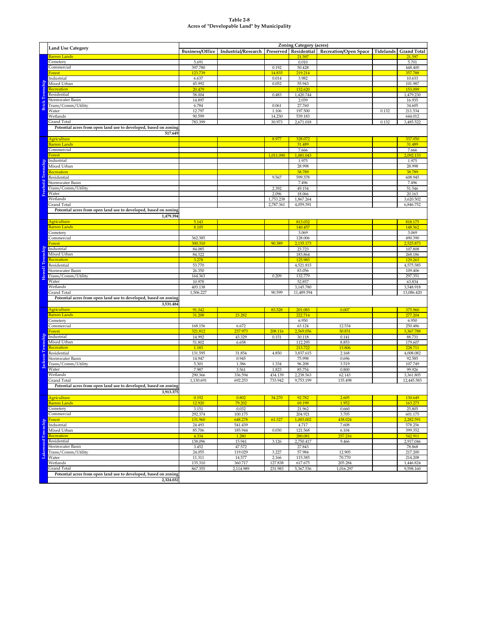#### **Table 2-8 Acres of "Developable Land" by Municipality**

|                       |                                                                                                               |                        |                     |                        | <b>Zoning Category (acres)</b> |                              |           |                        |
|-----------------------|---------------------------------------------------------------------------------------------------------------|------------------------|---------------------|------------------------|--------------------------------|------------------------------|-----------|------------------------|
|                       | <b>Land Use Category</b>                                                                                      | <b>Business/Office</b> | Industrial/Research |                        | Preserved   Residential        | <b>Recreation/Open Space</b> | Tidelands | <b>Grand Total</b>     |
|                       | Barren Lands                                                                                                  |                        |                     |                        | 21.597                         |                              |           | 21.597                 |
|                       | Cemetery                                                                                                      | 5.691                  |                     |                        | 0.010                          |                              |           | 5.701                  |
|                       | Commercial                                                                                                    | 397.780                |                     | 0.192                  | 50.428                         |                              |           | 448.400                |
|                       | <b>Forest</b><br>Industrial                                                                                   | 123.739                |                     | 14.835                 | 219.214                        |                              |           | 357.788                |
|                       | Mixed Urban                                                                                                   | 6.637<br>45.992        |                     | 0.014<br>0.052         | 3.982<br>55.943                |                              |           | 10.633<br>101.987      |
| <b>Brick Township</b> | Recreation                                                                                                    | 20.479                 |                     |                        | 132.620                        |                              |           | 153.099                |
|                       | Residential                                                                                                   | 58.004                 |                     | 0.483                  | 1,420.744                      |                              |           | 1,479.230              |
|                       | <b>Stormwater Basin</b>                                                                                       | 14.897                 |                     |                        | 2.039                          |                              |           | 16.935                 |
|                       | Trans/Comm/Utility                                                                                            | 6.784                  |                     | 0.061                  | 27.760                         |                              |           | 34.605                 |
|                       | Water                                                                                                         | 12.797                 |                     | 1.106                  | 197.500                        |                              | 0.132     | 211.534                |
|                       | Wetlands                                                                                                      | 90.599                 |                     | 14.230                 | 539.183                        |                              |           | 644.012                |
|                       | <b>Grand Total</b>                                                                                            | 783.399                |                     | 30.973                 | 2,671.018                      |                              | 0.132     | 3,485.522              |
|                       | Potential acres from open land use to developed, based on zoning                                              |                        |                     |                        |                                |                              |           |                        |
|                       | 517.649                                                                                                       |                        |                     |                        |                                |                              |           |                        |
|                       | <b>Agriculture</b><br><b>Barren Lands</b>                                                                     |                        |                     | 8.977                  | 328.072<br>31.489              |                              |           | 337.050<br>31.489      |
|                       | Commercial                                                                                                    |                        |                     |                        | 7.666                          |                              |           | 7.666                  |
|                       | Forest                                                                                                        |                        |                     | 1,011.090              | 1,081.043                      |                              |           | 2,092.133              |
|                       | Industrial                                                                                                    |                        |                     |                        | 1.975                          |                              |           | 1.975                  |
| Freehold Township     | Mixed Urban                                                                                                   |                        |                     |                        | 28.998                         |                              |           | 28.998                 |
|                       | Recreation                                                                                                    |                        |                     |                        | 38.789                         |                              |           | 38.789                 |
|                       | Residential                                                                                                   |                        |                     | 9.567                  | 599.378                        |                              |           | 608.945                |
|                       | Stormwater Basin                                                                                              |                        |                     |                        | 7.496                          |                              |           | 7.496                  |
|                       | Trans/Comm/Utility                                                                                            |                        |                     | 2.392                  | 49.154                         |                              |           | 51.546                 |
|                       | Water<br>Wetlands                                                                                             |                        |                     | 2.096                  | 18.066                         |                              |           | 20.163                 |
|                       | Grand Total                                                                                                   |                        |                     | 1,753.238<br>2,787.361 | 1,867.264<br>4,059.391         |                              |           | 3,620.502<br>6,846.752 |
|                       | Potential acres from open land use to developed, based on zoning                                              |                        |                     |                        |                                |                              |           |                        |
|                       | 1,479.394                                                                                                     |                        |                     |                        |                                |                              |           |                        |
|                       | Agriculture                                                                                                   | 5.143                  |                     |                        | 813.032                        |                              |           | 818.175                |
|                       | <b>Barren Lands</b>                                                                                           | 8.105                  |                     |                        | 140.457                        |                              |           | 148.562                |
|                       | Cemetery                                                                                                      |                        |                     |                        | 3.069                          |                              |           | 3.069                  |
|                       | Commercial                                                                                                    | 362.385                |                     |                        | 128.006                        |                              |           | 490.390                |
|                       | Forest                                                                                                        | 300.310                |                     | 90.389                 | 2,135.173                      |                              |           | 2,525.873              |
|                       | Industrial                                                                                                    | 84.085                 |                     |                        | 23.723                         |                              |           | 107.808                |
|                       | Mixed Urban<br>Recreation                                                                                     | 84.322<br>3.278        |                     |                        | 183.864<br>125.985             |                              |           | 268.186<br>129.263     |
|                       | Residential                                                                                                   | 53.770                 |                     |                        | 4,521.815                      |                              |           | 4,575.585              |
| Howell Township       | <b>Stormwater Basin</b>                                                                                       | 26.350                 |                     |                        | 83.056                         |                              |           | 109.406                |
|                       | Trans/Comm/Utility                                                                                            | 164.363                |                     | 0.209                  | 132.779                        |                              |           | 297.351                |
|                       | Water                                                                                                         | 10.978                 |                     |                        | 52.857                         |                              |           | 63.834                 |
|                       | Wetlands                                                                                                      | 403.138                |                     |                        | 3,145.780                      |                              |           | 3,548.918              |
|                       | <b>Grand Total</b>                                                                                            | 1,506.227              |                     | 90.599                 | 11,489.594                     |                              |           | 13,086.420             |
|                       | Potential acres from open land use to developed, based on zoning                                              |                        |                     |                        |                                |                              |           |                        |
|                       | 3,531.484                                                                                                     |                        |                     |                        |                                |                              |           |                        |
|                       | <b>Agriculture</b><br><b>Barren Lands</b>                                                                     | 91.342<br>31.208       | 23.282              | 83.528                 | 201.083<br>222.714             | 0.007                        |           | 375.960<br>277.204     |
|                       | Cemetery                                                                                                      |                        |                     |                        | 6.950                          |                              |           | 6.950                  |
|                       | Commercial                                                                                                    | 168.156                | 6.672               |                        | 63.124                         | 12.534                       |           | 250.486                |
|                       | <u>Forest</u>                                                                                                 | 321.812                | 237.973             | 208.116                | 2,569.056                      | 30.831                       |           | 3,367.788              |
|                       | Industrial                                                                                                    | 14.992                 | 43.329              | 0.151                  | 30.118                         | 0.141                        |           | 88.731                 |
|                       | Mixed Urban                                                                                                   | 51.802                 | 6.658               |                        | 112.295                        | 8.853                        |           | 179.607                |
|                       | Recreation                                                                                                    | 1.183                  |                     |                        | 213.722                        | 13.806                       |           | 228.711                |
|                       | Residential                                                                                                   | 131.595                | 31.854              | 4.850                  | 3,837.615                      | 2.168                        |           | 4,008.082              |
| Jackson Township      | Stormwater Basin<br>Trans/Comm/Utility                                                                        | 14.947<br>5.301        | 0.945<br>1.386      | 1.334                  | 75.998<br>96.208               | 0.696<br>3.519               |           | 92.585<br>107.749      |
|                       | Water                                                                                                         | 7.987                  | 3.561               | 1.823                  | 85.754                         | 0.800                        |           | 99.926                 |
|                       | Wetlands                                                                                                      | 290.366                | 336.594             | 434.139                | 2,238.563                      | 62.143                       |           | 3,361.805              |
|                       | <b>Grand Total</b>                                                                                            | 1,130.691              | 692.253             | 733.942                | 9,753.199                      | 135.498                      |           | 12,445.583             |
|                       | Potential acres from open land use to developed, based on zoning                                              |                        |                     |                        |                                |                              |           |                        |
|                       | 3,913.375                                                                                                     |                        |                     |                        |                                |                              |           |                        |
|                       | Agriculture                                                                                                   | 0.192                  | 0.802               | 34.270                 | 92.782                         | 2.605                        |           | 130.649                |
|                       | <b>Barren Lands</b>                                                                                           | 12.920                 | 79.202              |                        | 69.199                         | 1.952                        |           | 163.273                |
|                       | Cemetery                                                                                                      | 3.151                  | 0.032               |                        | 21.962                         | 0.660                        |           | 25.805                 |
|                       | Commercial                                                                                                    | 292.374                | 100.175             |                        | 204.921                        | 3.705                        |           | 601.175                |
|                       | Industrial                                                                                                    | 131.960<br>24.493      | 648.278<br>541.439  | 61.327                 | 1,003.002<br>4.717             | 438.024<br>7.608             |           | 2,282.591<br>578.256   |
|                       | Mixed Urban                                                                                                   | 85.706                 | 185.944             | 0.030                  | 121.568                        | 6.104                        |           | 399.352                |
|                       | Recreation                                                                                                    | 4.334                  | 1.280               |                        | 280.081                        | 257.216                      |           | 542.911                |
|                       | Residential                                                                                                   | 138.096                | 15.941              | 3.126                  | 2,750.417                      | 9.466                        |           | 2,917.046              |
|                       | Stormwater Basin                                                                                              | 3.452                  | 47.572              |                        | 27.843                         |                              |           | 78.868                 |
|                       | Forest<br>Indust<br>Mixed<br>Mixed<br>Recrea<br>Resid<br>Storm<br>Transport<br>Material<br>Trans/Comm/Utility | 24.055                 | 119.029             | 3.227                  | 57.984                         | 12.905                       |           | 217.200                |
|                       |                                                                                                               | 11.311                 | 14.577              | 2.166                  | 115.385                        | 70.770                       |           | 214.208                |
|                       | Wetlands                                                                                                      | 135.310                | 360.717             | 127.838                | 617.675                        | 205.284                      |           | 1,446.824              |
|                       | <b>Grand Total</b><br>Potential acres from open land use to developed, based on zoning                        | 867.355                | 2,114.989           | 231.983                | 5,367.536                      | 1,016.297                    |           | 9,598.160              |
|                       | 2,324.032                                                                                                     |                        |                     |                        |                                |                              |           |                        |
|                       |                                                                                                               |                        |                     |                        |                                |                              |           |                        |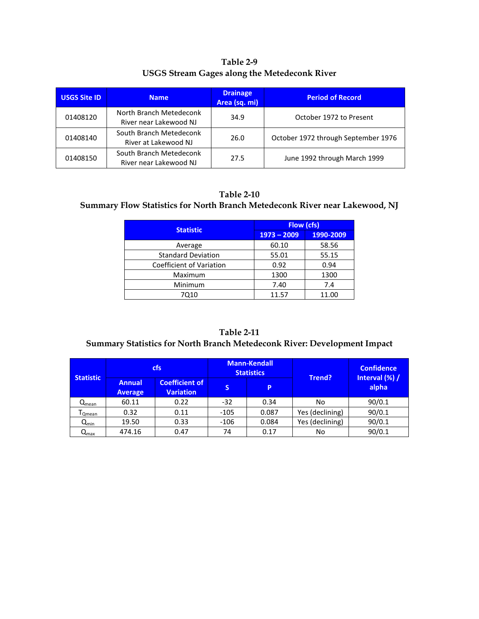**Table 2-9 USGS Stream Gages along the Metedeconk River**

| <b>USGS Site ID</b> | <b>Name</b>                                       | <b>Drainage</b><br>Area (sq. mi) | <b>Period of Record</b>             |
|---------------------|---------------------------------------------------|----------------------------------|-------------------------------------|
| 01408120            | North Branch Metedeconk<br>River near Lakewood NJ | 34.9                             | October 1972 to Present             |
| 01408140            | South Branch Metedeconk<br>River at Lakewood NJ   | 26.0                             | October 1972 through September 1976 |
| 01408150            | South Branch Metedeconk<br>River near Lakewood NJ | 27.5                             | June 1992 through March 1999        |

#### **Table 2-10**

### **Summary Flow Statistics for North Branch Metedeconk River near Lakewood, NJ**

| <b>Statistic</b>                | <b>Flow (cfs)</b> |           |  |  |  |  |
|---------------------------------|-------------------|-----------|--|--|--|--|
|                                 | $1973 - 2009$     | 1990-2009 |  |  |  |  |
| Average                         | 60.10             | 58.56     |  |  |  |  |
| <b>Standard Deviation</b>       | 55.01             | 55.15     |  |  |  |  |
| <b>Coefficient of Variation</b> | 0.92              | 0.94      |  |  |  |  |
| Maximum                         | 1300              | 1300      |  |  |  |  |
| Minimum                         | 7.40              | 7.4       |  |  |  |  |
| 7010                            | 11.57             | 11.00     |  |  |  |  |

#### **Table 2-11 Summary Statistics for North Branch Metedeconk River: Development Impact**

| <b>Statistic</b>            |                                 | <b>cfs</b>                                |        | <b>Mann-Kendall</b><br><b>Statistics</b> |                 | <b>Confidence</b>       |
|-----------------------------|---------------------------------|-------------------------------------------|--------|------------------------------------------|-----------------|-------------------------|
|                             | <b>Annual</b><br><b>Average</b> | <b>Coefficient of</b><br><b>Variation</b> | S      | P                                        | Trend?          | Interval (%) /<br>alpha |
| $Q_{mean}$                  | 60.11                           | 0.22                                      | $-32$  | 0.34                                     | No              | 90/0.1                  |
| <sup>I</sup> Qmean          | 0.32                            | 0.11                                      | $-105$ | 0.087                                    | Yes (declining) | 90/0.1                  |
| $Q_{\text{min}}$            | 19.50                           | 0.33                                      | $-106$ | 0.084                                    | Yes (declining) | 90/0.1                  |
| $\mathsf{Q}_{\mathsf{max}}$ | 474.16                          | 0.47                                      | 74     | 0.17                                     | No              | 90/0.1                  |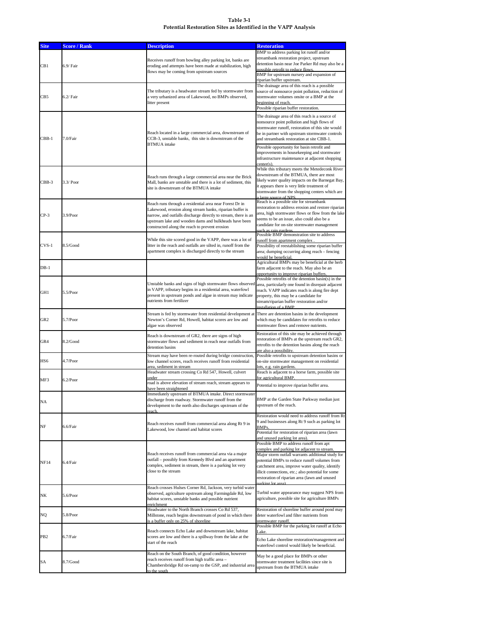# **Table 3-1 Potential Restoration Sites as Identified in the VAPP Analysis**

| <b>Site</b>     | <b>Score / Rank</b> | <b>Description</b>                                                                                                                                                                                                                                                                               | <b>Restoration</b>                                                                                                                                                                                                                                                                                                                                                                                          |
|-----------------|---------------------|--------------------------------------------------------------------------------------------------------------------------------------------------------------------------------------------------------------------------------------------------------------------------------------------------|-------------------------------------------------------------------------------------------------------------------------------------------------------------------------------------------------------------------------------------------------------------------------------------------------------------------------------------------------------------------------------------------------------------|
| CB1             | $6.9/$ Fair         | Receives runoff from bowling alley parking lot, banks are<br>eroding and attempts have been made at stabilization, high<br>flows may be coming from upstream sources                                                                                                                             | BMP to address parking lot runoff and/or<br>streambank restoration project, upstream<br>detention basin near Joe Parker Rd may also be a<br>possible retrofit to reduce flows.<br>BMP for upstream nursery and expansion of<br>riparian buffer upstream.                                                                                                                                                    |
| CB5             | $6.2/$ Fair         | The tributary is a headwater stream fed by stormwater from<br>a very urbanized area of Lakewood, no BMPs observed,<br>litter present                                                                                                                                                             | The drainage area of this reach is a possible<br>source of nonsource point pollution, reduction of<br>stormwater volumes onsite or a BMP at the<br>beginning of reach.                                                                                                                                                                                                                                      |
|                 |                     |                                                                                                                                                                                                                                                                                                  | Possible riparian buffer restoration.                                                                                                                                                                                                                                                                                                                                                                       |
| $CBB-1$         | 7.0/Fair            | Reach located in a large commercial area, downstream of<br>CCB-3, unstable banks, this site is downstream of the<br><b>BTMUA</b> intake                                                                                                                                                          | The drainage area of this reach is a source of<br>nonsource point pollution and high flows of<br>stormwater runoff, restoration of this site would<br>be in partner with upstream stormwater controls<br>and streambank restoration at site CBB-1.                                                                                                                                                          |
|                 |                     |                                                                                                                                                                                                                                                                                                  | Possible opportunity for basin retrofit and<br>improvements in housekeeping and stormwater<br>infrastructure maintenance at adjacent shopping<br>center(s)                                                                                                                                                                                                                                                  |
| $CBB-3$         | $3.3/$ Poor         | Reach runs through a large commercial area near the Brick<br>Mall, banks are unstable and there is a lot of sediment, this<br>site is downstream of the BTMUA intake                                                                                                                             | While this tributary meets the Metedeconk River<br>downstream of the BTMUA, there are most<br>likely water quality impacts on the Barnegat Bay,<br>it appears there is very little treatment of<br>stormwater from the shopping centers which are<br>a large source of NPS                                                                                                                                  |
| $CP-3$          | 3.9/Poor            | Reach runs through a residential area near Forest Dr in<br>Lakewood, erosion along stream banks, riparian buffer is<br>narrow, and outfalls discharge directly to stream, there is an<br>upstream lake and wooden dams and bulkheads have been<br>constructed along the reach to prevent erosion | Reach is a possible site for streambank<br>restoration to address erosion and restore riparian<br>area, high stormwater flows or flow from the lake<br>seems to be an issue, also could also be a<br>candidate for on-site stormwater management<br>such as rain gardens                                                                                                                                    |
| $CVS-1$         | 8.5/Good            | While this site scored good in the VAPP, there was a lot of<br>litter in the reach and outfalls are silted in, runoff from the<br>apartment complex is discharged directly to the stream                                                                                                         | Possible BMP demonstration site to address<br>runoff from apartment complex.<br>Possibility of reestablishing some riparian buffer<br>area; dumping occurring along reach - fencing<br>would be beneficial.                                                                                                                                                                                                 |
| $DB-1$          |                     |                                                                                                                                                                                                                                                                                                  | Agricultural BMPs may be beneficial at the herb<br>farm adjacent to the reach. May also be an<br>opportunity to improve riparian buffers.                                                                                                                                                                                                                                                                   |
| GH <sub>1</sub> | 5.5/Poor            | Unstable banks and signs of high stormwater flows observed area, particularly one found in disrepair adjacent<br>in VAPP, tributary begins in a residential area, waterfowl<br>present in upstream ponds and algae in stream may indicate<br>nutrients from fertilizer                           | Possible retrofits of the detention basin(s) in the<br>reach. VAPP indicates reach is along fire dept<br>property, this may be a candidate for<br>stream/riparian buffer restoration and/or<br>installation of a RMP                                                                                                                                                                                        |
| GR <sub>2</sub> | 5.7/Poor            | Stream is fed by stormwater from residential development at There are detention basins in the development<br>Newton's Corner Rd, Howell, habitat scores are low and<br>algae was observed                                                                                                        | which may be candidates for retrofits to reduce<br>stormwater flows and remove nutrients.                                                                                                                                                                                                                                                                                                                   |
| GR4             | $8.2/G$ ood         | Reach is downstream of GR2, there are signs of high<br>stormwater flows and sediment in reach near outfalls from<br>detention basins                                                                                                                                                             | Restoration of this site may be achieved through<br>restoration of BMPs at the upstream reach GR2,<br>retrofits to the detention basins along the reach<br>are also a possibility.                                                                                                                                                                                                                          |
| HS <sub>6</sub> | 4.7/Poor            | Stream may have been re-routed during bridge construction<br>low channel scores, reach receives runoff from residential<br>area, sediment in stream                                                                                                                                              | Possible retrofits to upstream detention basins or<br>on-site stormwater management on residential<br>lots, e.g. rain gardens.                                                                                                                                                                                                                                                                              |
| MF3             | $6.2$ /Poor         | Headwater stream crossing Co Rd 547, Howell, culvert<br>under                                                                                                                                                                                                                                    | Reach is adjacent to a horse farm, possible site<br>for agricultural BMP.                                                                                                                                                                                                                                                                                                                                   |
|                 |                     | road is above elevation of stream reach, stream appears to<br>have been straightened                                                                                                                                                                                                             | Potential to improve riparian buffer area.                                                                                                                                                                                                                                                                                                                                                                  |
| NA              |                     | Immediately upstream of BTMUA intake. Direct stormwater<br>discharge from roadway. Stormwater runoff from the<br>development to the north also discharges upstream of the<br>reach.                                                                                                              | BMP at the Garden State Parkway median just<br>upstream of the reach.                                                                                                                                                                                                                                                                                                                                       |
| <b>NF</b>       | 6.6/Fair            | Reach receives runoff from commercial area along Rt 9 in<br>Lakewood, low channel and habitat scores                                                                                                                                                                                             | Restoration would need to address runoff from Rt<br>9 and businesses along Rt 9 such as parking lot<br>BMPs.<br>Potential for restoration of riparian area (lawn                                                                                                                                                                                                                                            |
| <b>NF14</b>     | 6.4/Fair            | Reach receives runoff from commercial area via a major<br>outfall - possibly from Kennedy Blvd and an apartment<br>complex, sediment in stream, there is a parking lot very<br>close to the stream                                                                                               | and unused parking lot area).<br>Possible BMP to address runoff from apt<br>complex and parking lot adjacent to stream.<br>Major storm outfall warrants additional study for<br>potential BMPs to reduce runoff volumes from<br>catchment area, improve water quality, identify<br>illicit connections, etc.; also potential for some<br>restoration of riparian area (lawn and unused<br>narking lot area) |
| NK              | 5.6/Poor            | Reach crosses Hulses Corner Rd, Jackson, very turbid water<br>observed, agriculture upstream along Farmingdale Rd, low<br>habitat scores, unstable banks and possible nutrient<br>enrichment                                                                                                     | Turbid water appearance may suggest NPS from<br>agriculture, possible site for agriculture BMPs                                                                                                                                                                                                                                                                                                             |
| <b>NQ</b>       | 5.8/Poor            | Headwater to the North Branch crosses Co Rd 537,<br>Millstone, reach begins downstream of pond in which there<br>is a buffer only on 25% of shoreline                                                                                                                                            | Restoration of shoreline buffer around pond may<br>deter waterfowl and filter nutrients from<br>stormwater runoff.<br>Possible BMP for the parking lot runoff at Echo                                                                                                                                                                                                                                       |
| PB <sub>2</sub> | 6.7/Fair            | Reach connects Echo Lake and downstream lake, habitat<br>scores are low and there is a spillway from the lake at the<br>start of the reach                                                                                                                                                       | Lake.<br>Echo Lake shoreline restoration/management and<br>waterfowl control would likely be beneficial.                                                                                                                                                                                                                                                                                                    |
| SA              | 8.7/Good            | Reach on the South Branch, of good condition, however<br>reach receives runoff from high traffic area -<br>Chambersbridge Rd on-ramp to the GSP, and industrial area<br>to the south                                                                                                             | May be a good place for BMPs or other<br>stormwater treatment facilities since site is<br>upstream from the BTMUA intake                                                                                                                                                                                                                                                                                    |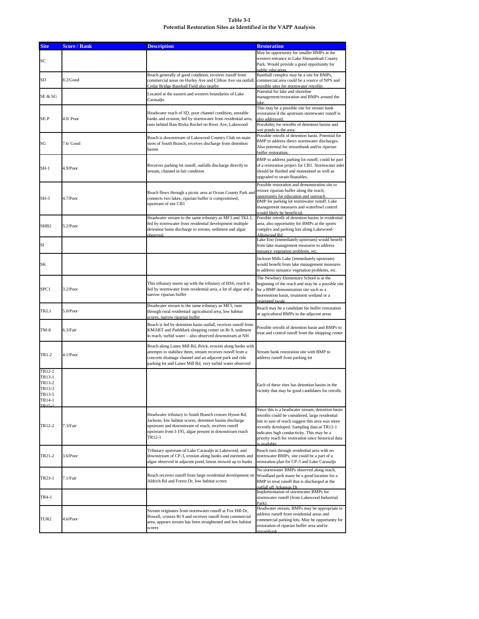# **Table 3-1 Potential Restoration Sites as Identified in the VAPP Analysis**

| <b>Site</b>                                                                    | <b>Score / Rank</b> | <b>Description</b>                                                                                                                                                                                                                              | <b>Restoration</b>                                                                                                                                                                                                                                                                                                             |
|--------------------------------------------------------------------------------|---------------------|-------------------------------------------------------------------------------------------------------------------------------------------------------------------------------------------------------------------------------------------------|--------------------------------------------------------------------------------------------------------------------------------------------------------------------------------------------------------------------------------------------------------------------------------------------------------------------------------|
| <b>SC</b>                                                                      |                     |                                                                                                                                                                                                                                                 | May be opportunity for smaller BMPs at the<br>western entrance to Lake Shenandoah County<br>Park. Would provide a good opportunity for<br>public education.                                                                                                                                                                    |
| <b>SD</b>                                                                      | 8.2/Good            | Reach generally of good condition, receives runoff from<br>commercial areas on Hurley Ave and Clifton Ave via outfall<br>Cedar Bridge Baseball Field also nearby                                                                                | Baseball complex may be a site for BMPs,<br>commercial area could be a source of NPS and<br>possible sites for stormwater retrofits                                                                                                                                                                                            |
| SE & SG                                                                        |                     | Located at the eastern and western boundaries of Lake<br>Carasaljo.                                                                                                                                                                             | Potential for lake and shoreline<br>management/restoration and BMPs around the<br>lake.                                                                                                                                                                                                                                        |
| SE-P                                                                           | $4.0/$ Poor         | Headwater reach of SD, poor channel condition, unstable<br>banks and erosion, fed by stormwater from residential area,<br>runs behind Bais Rivka Rochel on River Ave, Lakewood                                                                  | This may be a possible site for stream bank<br>restoration if the upstream stormwater runoff is<br>also addressed.<br>Possibility for retrofits of detention basins and<br>wet ponds in the area.                                                                                                                              |
| SG                                                                             | $7.6/$ Good         | Reach is downstream of Lakewood Country Club on main<br>stem of South Branch, receives discharge from detention<br>basins                                                                                                                       | Possible retrofit of detention basin. Potential for<br>BMP to address direct stormwater discharges.<br>Also potential for streambank and/or riparian<br>buffer restoration                                                                                                                                                     |
| $SH-1$                                                                         | $4.9$ /Poor         | Receives parking lot runoff, outfalls discharge directly to<br>stream, channel in fair condition                                                                                                                                                | BMP to address parking lot runoff, could be part<br>of a restoration project for CB1. Stormwater inlet<br>should be flushed and maintained as well as<br>upgraded to strain floatables.                                                                                                                                        |
| $SH-3$                                                                         | 4.7/Poor            | Reach flows through a picnic area at Ocean County Park and<br>connects two lakes, riparian buffer is compromised,<br>upstream of site CB1                                                                                                       | Possible restoration and demonstration site to<br>restore riparian buffer along the reach,<br>opportunity for education and outreach<br>BMP for parking lot stormwater runoff. Lake<br>management measures and waterfowl control<br>would likely be beneficial                                                                 |
| SHB <sub>2</sub>                                                               | $5.2$ /Poor         | Headwater stream to the same tributary as MF3 and TKL1,<br>fed by stormwater from residential development multiple<br>detention bains discharge to stream, sediment and algae<br>observed                                                       | Possible retrofit of detention basins in residential<br>area, also opportunity for BMPs at the sports<br>complex and parking lots along Lakewood-<br>Allenwood Rd                                                                                                                                                              |
| SI                                                                             |                     |                                                                                                                                                                                                                                                 | Lake Eno (immediately upstream) would benefit<br>from lake management measures to address<br>nuisance vegetation problems, etc.                                                                                                                                                                                                |
| SΚ                                                                             |                     |                                                                                                                                                                                                                                                 | Jackson Mills Lake (immediately upstream)<br>would benefit from lake management measures<br>to address nuisance vegetation problems, etc.                                                                                                                                                                                      |
| SPC1                                                                           | $3.2$ /Poor         | This tributary meets up with the tributary of HS6, reach is<br>fed by stormwater from residential area, a lot of algae and a<br>narrow riparian buffer                                                                                          | The Newbury Elementary School is at the<br>beginning of the reach and may be a possible site<br>for a BMP demonstration site such as a<br>bioretention basin, treatment wetland or a<br>vegetated swale                                                                                                                        |
| TKL1                                                                           | 5.0/Poor            | Headwater stream to the same tributary as MF3, runs<br>through rural residential/agricultural area, low habitat<br>scores, narrow riparian buffer                                                                                               | Reach may be a candidate for buffer restoration<br>or agricultural BMPs in the adjacent areas                                                                                                                                                                                                                                  |
| $TM-8$                                                                         | 6.3/Fair            | Reach is fed by detention basin outfall, receives runoff from<br>KMART and PathMark shopping center on Rt 9, sediment<br>in reach, turbid water - also observed downstream at NH                                                                | Possible retrofit of detention basin and BMPs to<br>treat and control runoff from the shopping center                                                                                                                                                                                                                          |
| TR1-2                                                                          | 4.1/Poor            | Reach along Lanes Mill Rd, Brick, erosion along banks with<br>attempts to stabilize them, stream receives runoff from a<br>concrete drainage channel and an adjacent park and ride<br>parking lot and Lanes Mill Rd, very turbid water observed | Stream bank restoration site with BMP to<br>address runoff from parking lot                                                                                                                                                                                                                                                    |
| TR12-1<br>TR13-1<br>TR13-2<br>TR13-3<br>TR13-5<br>TR14-1<br>TR <sub>15-1</sub> |                     |                                                                                                                                                                                                                                                 | Each of these sites has detention basins in the<br>vicinity that may be good candidates for retrofit.                                                                                                                                                                                                                          |
| TR12-2                                                                         | 7.3/Fair            | Headwater tributary to South Branch crosses Hyson Rd,<br>Jackson, low habitat scores, detention basins discharge<br>upstream and downstream of reach, receives runoff<br>upstream from I-195, algae present in downstream reach<br>TR12-1       | Since this is a headwater stream, detention basin<br>retrofits could be considered, large residential<br>lots to east of reach suggest this area was more<br>recently developed. Sampling data at TR12-1<br>indicates high conductivity. This may be a<br>priority reach for restoration since historical data<br>is available |
| TR21-2                                                                         | 3.6/Poor            | Tributary upstream of Lake Carasaljo in Lakewood, and<br>downstream of CP-3, erosion along banks and nutrients and<br>algae observed in adjacent pond, lawns mowed up to banks                                                                  | Reach runs through residential area with no<br>stormwater BMPs, site could be a part of a<br>restoration plan for CP-3 and Lake Carasaljo                                                                                                                                                                                      |
| TR23-1                                                                         | 7.1/Fair            | Reach receives runoff from large residential development on<br>Aldrich Rd and Forest Dr, low habitat scores                                                                                                                                     | No stormwater BMPs observed along reach,<br>Woodland park many be a good location for a<br>BMP to treat runoff that is discharged at the<br>outfall off Arkansas Dr                                                                                                                                                            |
| <b>TR4-1</b>                                                                   |                     |                                                                                                                                                                                                                                                 | Implementation of stormwater BMPs for<br>stormwater runoff (from Lakewood Industrial<br>Park).                                                                                                                                                                                                                                 |
| TUR <sub>2</sub>                                                               | 4.6/Poor            | Stream originates from stormwater runoff at Fox Hill Dr,<br>Howell, crosses Rt 9 and receives runoff from commercial<br>area, appears stream has been straightened and low habitat<br>scores                                                    | Headwater stream, BMPs may be appropriate to<br>address runoff from residential areas and<br>commercial parking lots. May be opportunity for<br>restoration of riparian buffer area and/or<br>streambank.                                                                                                                      |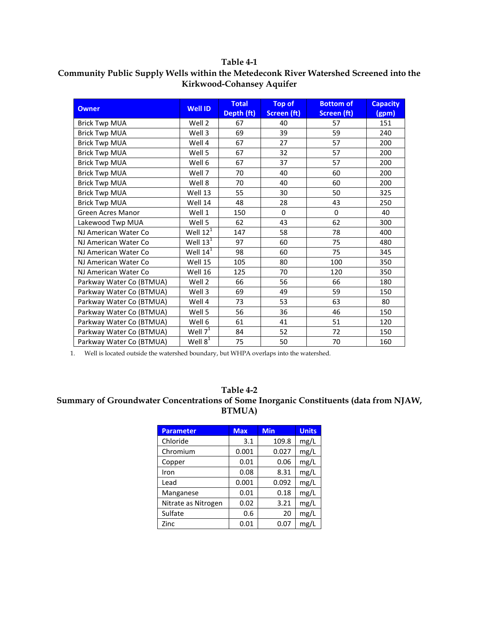#### **Table 4-1**

| <b>Owner</b>             | <b>Well ID</b> | <b>Total</b><br>Depth (ft) | <b>Top of</b><br><b>Screen (ft)</b> | <b>Bottom of</b><br><b>Screen (ft)</b> | <b>Capacity</b><br>(gpm) |
|--------------------------|----------------|----------------------------|-------------------------------------|----------------------------------------|--------------------------|
| <b>Brick Twp MUA</b>     | Well 2         | 67                         | 40                                  | 57                                     | 151                      |
| <b>Brick Twp MUA</b>     | Well 3         | 69                         | 39                                  | 59                                     | 240                      |
| <b>Brick Twp MUA</b>     | Well 4         | 67                         | 27                                  | 57                                     | 200                      |
| <b>Brick Twp MUA</b>     | Well 5         | 67                         | 32                                  | 57                                     | 200                      |
| <b>Brick Twp MUA</b>     | Well 6         | 67                         | 37                                  | 57                                     | 200                      |
| <b>Brick Twp MUA</b>     | Well 7         | 70                         | 40                                  | 60                                     | 200                      |
| <b>Brick Twp MUA</b>     | Well 8         | 70                         | 40                                  | 60                                     | 200                      |
| <b>Brick Twp MUA</b>     | Well 13        | 55                         | 30                                  | 50                                     | 325                      |
| <b>Brick Twp MUA</b>     | Well 14        | 48                         | 28                                  | 43                                     | 250                      |
| <b>Green Acres Manor</b> | Well 1         | 150                        | $\Omega$                            | $\Omega$                               | 40                       |
| Lakewood Twp MUA         | Well 5         | 62                         | 43                                  | 62                                     | 300                      |
| NJ American Water Co     | Well $12^T$    | 147                        | 58                                  | 78                                     | 400                      |
| NJ American Water Co     | Well $13^1$    | 97                         | 60                                  | 75                                     | 480                      |
| NJ American Water Co     | Well $14^1$    | 98                         | 60                                  | 75                                     | 345                      |
| NJ American Water Co     | Well 15        | 105                        | 80                                  | 100                                    | 350                      |
| NJ American Water Co     | Well 16        | 125                        | 70                                  | 120                                    | 350                      |
| Parkway Water Co (BTMUA) | Well 2         | 66                         | 56                                  | 66                                     | 180                      |
| Parkway Water Co (BTMUA) | Well 3         | 69                         | 49                                  | 59                                     | 150                      |
| Parkway Water Co (BTMUA) | Well 4         | 73                         | 53                                  | 63                                     | 80                       |
| Parkway Water Co (BTMUA) | Well 5         | 56                         | 36                                  | 46                                     | 150                      |
| Parkway Water Co (BTMUA) | Well 6         | 61                         | 41                                  | 51                                     | 120                      |
| Parkway Water Co (BTMUA) | Well $7^T$     | 84                         | 52                                  | 72                                     | 150                      |
| Parkway Water Co (BTMUA) | Well $8^1$     | 75                         | 50                                  | 70                                     | 160                      |

## **Community Public Supply Wells within the Metedeconk River Watershed Screened into the Kirkwood-Cohansey Aquifer**

1. Well is located outside the watershed boundary, but WHPA overlaps into the watershed.

#### **Table 4-2 Summary of Groundwater Concentrations of Some Inorganic Constituents (data from NJAW, BTMUA)**

| <b>Parameter</b>    | <b>Max</b> | <b>Min</b> | <b>Units</b> |
|---------------------|------------|------------|--------------|
| Chloride            | 3.1        | 109.8      | mg/L         |
| Chromium            | 0.001      | 0.027      | mg/L         |
| Copper              | 0.01       | 0.06       | mg/L         |
| Iron                | 0.08       | 8.31       | mg/L         |
| Lead                | 0.001      | 0.092      | mg/L         |
| Manganese           | 0.01       | 0.18       | mg/L         |
| Nitrate as Nitrogen | 0.02       | 3.21       | mg/L         |
| Sulfate             | 0.6        | 20         | mg/L         |
| Zinc                | 0.01       | 0.07       | mg/L         |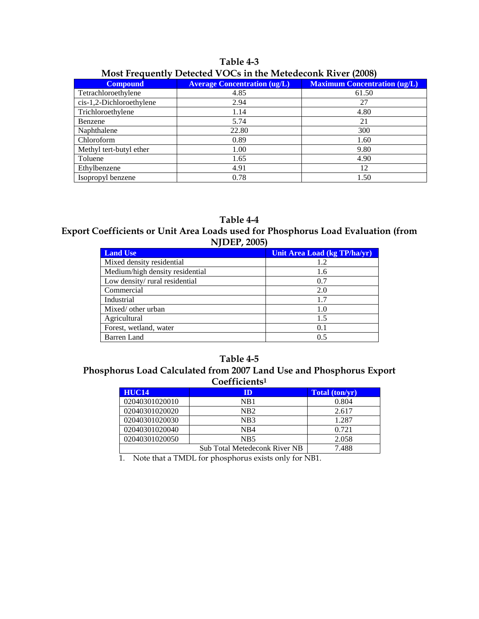| TUDIC I V                                                    |                                     |                                     |  |  |  |
|--------------------------------------------------------------|-------------------------------------|-------------------------------------|--|--|--|
| Most Frequently Detected VOCs in the Metedeconk River (2008) |                                     |                                     |  |  |  |
| <b>Compound</b>                                              | <b>Average Concentration (ug/L)</b> | <b>Maximum Concentration (ug/L)</b> |  |  |  |
| Tetrachloroethylene                                          | 4.85                                | 61.50                               |  |  |  |
| $cis-1,2-Dichloroethylene$                                   | 2.94                                |                                     |  |  |  |
| Trichloroethylene                                            | 14. ا                               | 4.80                                |  |  |  |
| Benzene                                                      | 5.74                                |                                     |  |  |  |

# **Table 4-3**

Benzene 1 21 Naphthalene 22.80 300<br>Chloroform 0.89 1.60

Methyl tert-butyl ether 1.00 9.80 Toluene  $1.65$  4.90 Ethylbenzene 4.91 12<br>
Isopropyl benzene 6.78 1.50

Chloroform 0.89

Isopropyl benzene

## **Table 4-4**

**Export Coefficients or Unit Area Loads used for Phosphorus Load Evaluation (from NJDEP, 2005)**

| <b>Land Use</b>                 | Unit Area Load (kg TP/ha/yr) |
|---------------------------------|------------------------------|
| Mixed density residential       | 1.2                          |
| Medium/high density residential | 1.6                          |
| Low density/rural residential   | 0.7                          |
| Commercial                      | 2.0                          |
| Industrial                      | 1.7                          |
| Mixed/ other urban              | 1.0                          |
| Agricultural                    | 1.5                          |
| Forest, wetland, water          | 0.1                          |
| <b>Barren</b> Land              | 0.5                          |

#### **Table 4-5**

#### **Phosphorus Load Calculated from 2007 Land Use and Phosphorus Export Coefficients1**

| <b>HUC14</b>   | ID                                   | Total (ton/yr) |
|----------------|--------------------------------------|----------------|
| 02040301020010 | NB1                                  | 0.804          |
| 02040301020020 | NB <sub>2</sub>                      | 2.617          |
| 02040301020030 | N <sub>B</sub> 3                     | 1.287          |
| 02040301020040 | N <sub>R</sub> 4                     | 0.721          |
| 02040301020050 | N <sub>B5</sub>                      | 2.058          |
|                | <b>Sub Total Metedeconk River NB</b> | 7.488          |

1. Note that a TMDL for phosphorus exists only for NB1.